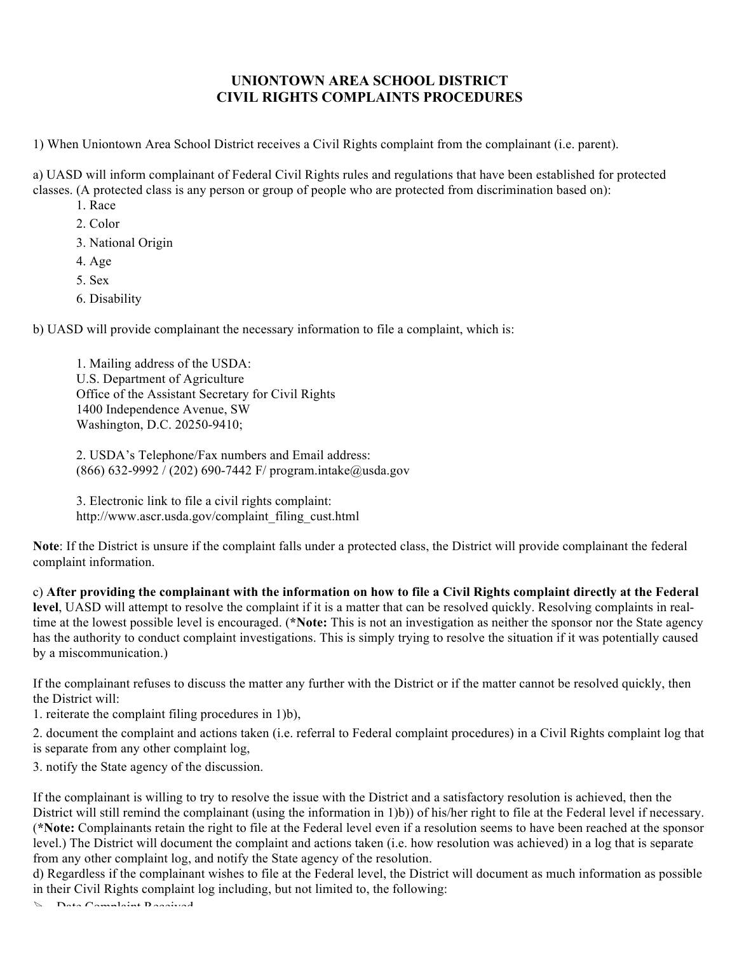## **UNIONTOWN AREA SCHOOL DISTRICT CIVIL RIGHTS COMPLAINTS PROCEDURES**

1) When Uniontown Area School District receives a Civil Rights complaint from the complainant (i.e. parent).

a) UASD will inform complainant of Federal Civil Rights rules and regulations that have been established for protected classes. (A protected class is any person or group of people who are protected from discrimination based on):

- 1. Race
- 2. Color
- 3. National Origin
- 4. Age
- 5. Sex
- 6. Disability

b) UASD will provide complainant the necessary information to file a complaint, which is:

1. Mailing address of the USDA: U.S. Department of Agriculture Office of the Assistant Secretary for Civil Rights 1400 Independence Avenue, SW Washington, D.C. 20250-9410;

2. USDA's Telephone/Fax numbers and Email address: (866) 632-9992 / (202) 690-7442 F/ program.intake@usda.gov

3. Electronic link to file a civil rights complaint: http://www.ascr.usda.gov/complaint\_filing\_cust.html

**Note**: If the District is unsure if the complaint falls under a protected class, the District will provide complainant the federal complaint information.

c) **After providing the complainant with the information on how to file a Civil Rights complaint directly at the Federal level**, UASD will attempt to resolve the complaint if it is a matter that can be resolved quickly. Resolving complaints in realtime at the lowest possible level is encouraged. (**\*Note:** This is not an investigation as neither the sponsor nor the State agency has the authority to conduct complaint investigations. This is simply trying to resolve the situation if it was potentially caused by a miscommunication.)

If the complainant refuses to discuss the matter any further with the District or if the matter cannot be resolved quickly, then the District will:

1. reiterate the complaint filing procedures in 1)b),

2. document the complaint and actions taken (i.e. referral to Federal complaint procedures) in a Civil Rights complaint log that is separate from any other complaint log,

3. notify the State agency of the discussion.

If the complainant is willing to try to resolve the issue with the District and a satisfactory resolution is achieved, then the District will still remind the complainant (using the information in 1)b)) of his/her right to file at the Federal level if necessary. (**\*Note:** Complainants retain the right to file at the Federal level even if a resolution seems to have been reached at the sponsor level.) The District will document the complaint and actions taken (i.e. how resolution was achieved) in a log that is separate from any other complaint log, and notify the State agency of the resolution.

d) Regardless if the complainant wishes to file at the Federal level, the District will document as much information as possible in their Civil Rights complaint log including, but not limited to, the following:

 $\mathbb{R}$  Data Complaint Deceived